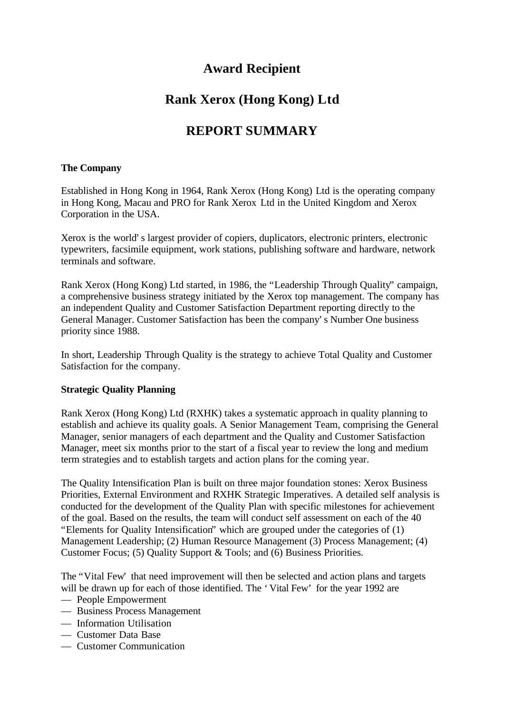## **Award Recipient**

# **Rank Xerox (Hong Kong) Ltd**

# **REPORT SUMMARY**

### **The Company**

Established in Hong Kong in 1964, Rank Xerox (Hong Kong) Ltd is the operating company in Hong Kong, Macau and PRO for Rank Xerox Ltd in the United Kingdom and Xerox Corporation in the USA.

Xerox is the world's largest provider of copiers, duplicators, electronic printers, electronic typewriters, facsimile equipment, work stations, publishing software and hardware, network terminals and software.

Rank Xerox (Hong Kong) Ltd started, in 1986, the "Leadership Through Quality" campaign, a comprehensive business strategy initiated by the Xerox top management. The company has an independent Quality and Customer Satisfaction Department reporting directly to the General Manager. Customer Satisfaction has been the company's Number One business priority since 1988.

In short, Leadership Through Quality is the strategy to achieve Total Quality and Customer Satisfaction for the company.

### **Strategic Quality Planning**

Rank Xerox (Hong Kong) Ltd (RXHK) takes a systematic approach in quality planning to establish and achieve its quality goals. A Senior Management Team, comprising the General Manager, senior managers of each department and the Quality and Customer Satisfaction Manager, meet six months prior to the start of a fiscal year to review the long and medium term strategies and to establish targets and action plans for the coming year.

The Quality Intensification Plan is built on three major foundation stones: Xerox Business Priorities, External Environment and RXHK Strategic Imperatives. A detailed self analysis is conducted for the development of the Quality Plan with specific milestones for achievement of the goal. Based on the results, the team will conduct self assessment on each of the 40 "Elements for Quality Intensification" which are grouped under the categories of (1) Management Leadership; (2) Human Resource Management (3) Process Management; (4) Customer Focus; (5) Quality Support & Tools; and (6) Business Priorities.

The "Vital Few' that need improvement will then be selected and action plans and targets will be drawn up for each of those identified. The 'Vital Few' for the year 1992 are

- People Empowerment
- Business Process Management
- Information Utilisation
- Customer Data Base
- Customer Communication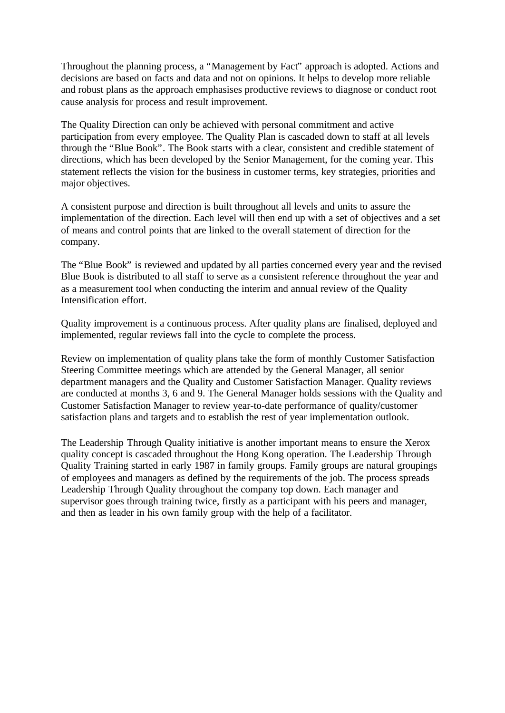Throughout the planning process, a "Management by Fact" approach is adopted. Actions and decisions are based on facts and data and not on opinions. It helps to develop more reliable and robust plans as the approach emphasises productive reviews to diagnose or conduct root cause analysis for process and result improvement.

The Quality Direction can only be achieved with personal commitment and active participation from every employee. The Quality Plan is cascaded down to staff at all levels through the "Blue Book". The Book starts with a clear, consistent and credible statement of directions, which has been developed by the Senior Management, for the coming year. This statement reflects the vision for the business in customer terms, key strategies, priorities and major objectives.

A consistent purpose and direction is built throughout all levels and units to assure the implementation of the direction. Each level will then end up with a set of objectives and a set of means and control points that are linked to the overall statement of direction for the company.

The "Blue Book" is reviewed and updated by all parties concerned every year and the revised Blue Book is distributed to all staff to serve as a consistent reference throughout the year and as a measurement tool when conducting the interim and annual review of the Quality Intensification effort.

Quality improvement is a continuous process. After quality plans are finalised, deployed and implemented, regular reviews fall into the cycle to complete the process.

Review on implementation of quality plans take the form of monthly Customer Satisfaction Steering Committee meetings which are attended by the General Manager, all senior department managers and the Quality and Customer Satisfaction Manager. Quality reviews are conducted at months 3, 6 and 9. The General Manager holds sessions with the Quality and Customer Satisfaction Manager to review year-to-date performance of quality/customer satisfaction plans and targets and to establish the rest of year implementation outlook.

The Leadership Through Quality initiative is another important means to ensure the Xerox quality concept is cascaded throughout the Hong Kong operation. The Leadership Through Quality Training started in early 1987 in family groups. Family groups are natural groupings of employees and managers as defined by the requirements of the job. The process spreads Leadership Through Quality throughout the company top down. Each manager and supervisor goes through training twice, firstly as a participant with his peers and manager, and then as leader in his own family group with the help of a facilitator.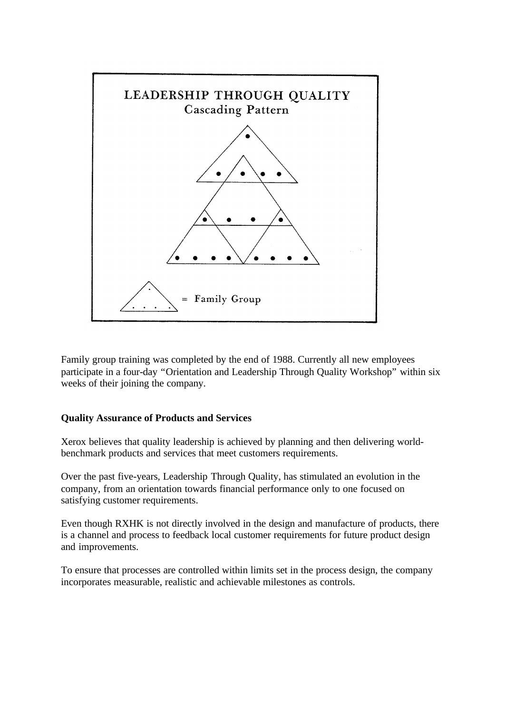

Family group training was completed by the end of 1988. Currently all new employees participate in a four-day "Orientation and Leadership Through Quality Workshop" within six weeks of their joining the company.

#### **Quality Assurance of Products and Services**

Xerox believes that quality leadership is achieved by planning and then delivering worldbenchmark products and services that meet customers requirements.

Over the past five-years, Leadership Through Quality, has stimulated an evolution in the company, from an orientation towards financial performance only to one focused on satisfying customer requirements.

Even though RXHK is not directly involved in the design and manufacture of products, there is a channel and process to feedback local customer requirements for future product design and improvements.

To ensure that processes are controlled within limits set in the process design, the company incorporates measurable, realistic and achievable milestones as controls.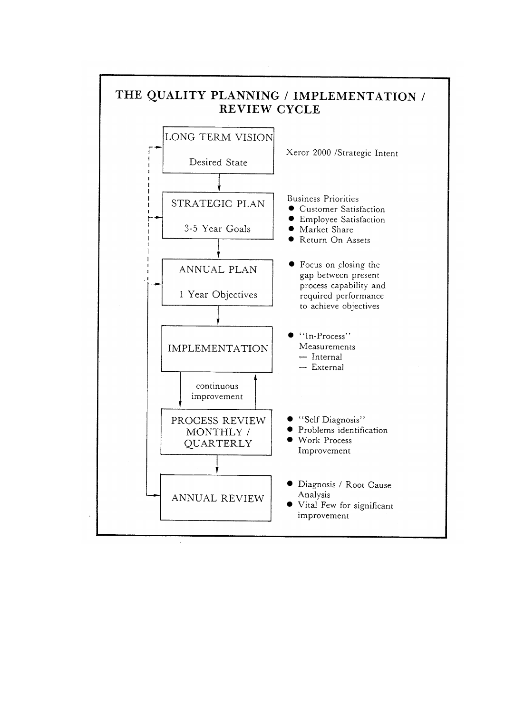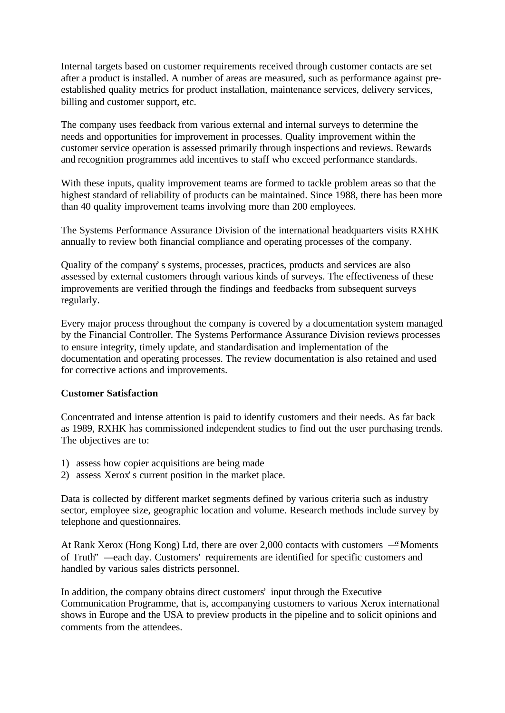Internal targets based on customer requirements received through customer contacts are set after a product is installed. A number of areas are measured, such as performance against preestablished quality metrics for product installation, maintenance services, delivery services, billing and customer support, etc.

The company uses feedback from various external and internal surveys to determine the needs and opportunities for improvement in processes. Quality improvement within the customer service operation is assessed primarily through inspections and reviews. Rewards and recognition programmes add incentives to staff who exceed performance standards.

With these inputs, quality improvement teams are formed to tackle problem areas so that the highest standard of reliability of products can be maintained. Since 1988, there has been more than 40 quality improvement teams involving more than 200 employees.

The Systems Performance Assurance Division of the international headquarters visits RXHK annually to review both financial compliance and operating processes of the company.

Quality of the company's systems, processes, practices, products and services are also assessed by external customers through various kinds of surveys. The effectiveness of these improvements are verified through the findings and feedbacks from subsequent surveys regularly.

Every major process throughout the company is covered by a documentation system managed by the Financial Controller. The Systems Performance Assurance Division reviews processes to ensure integrity, timely update, and standardisation and implementation of the documentation and operating processes. The review documentation is also retained and used for corrective actions and improvements.

#### **Customer Satisfaction**

Concentrated and intense attention is paid to identify customers and their needs. As far back as 1989, RXHK has commissioned independent studies to find out the user purchasing trends. The objectives are to:

- 1) assess how copier acquisitions are being made
- 2) assess Xerox's current position in the market place.

Data is collected by different market segments defined by various criteria such as industry sector, employee size, geographic location and volume. Research methods include survey by telephone and questionnaires.

At Rank Xerox (Hong Kong) Ltd, there are over 2,000 contacts with customers —"Moments of Truth" — each day. Customers' requirements are identified for specific customers and handled by various sales districts personnel.

In addition, the company obtains direct customers' input through the Executive Communication Programme, that is, accompanying customers to various Xerox international shows in Europe and the USA to preview products in the pipeline and to solicit opinions and comments from the attendees.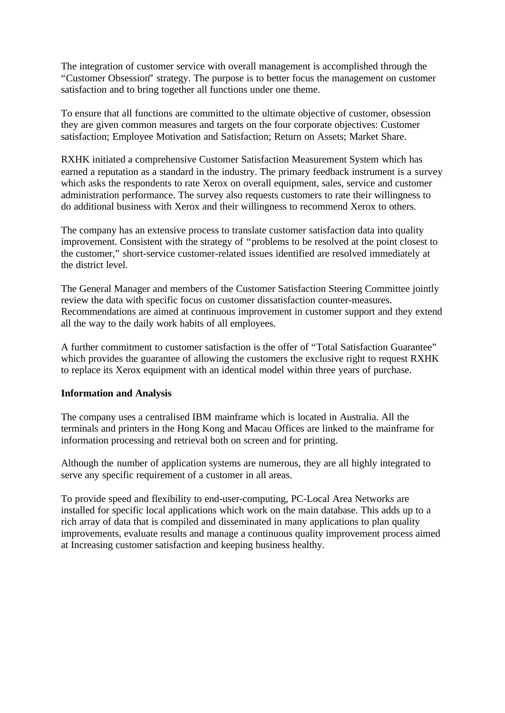The integration of customer service with overall management is accomplished through the "Customer Obsession" strategy. The purpose is to better focus the management on customer satisfaction and to bring together all functions under one theme.

To ensure that all functions are committed to the ultimate objective of customer, obsession they are given common measures and targets on the four corporate objectives: Customer satisfaction; Employee Motivation and Satisfaction; Return on Assets; Market Share.

RXHK initiated a comprehensive Customer Satisfaction Measurement System which has earned a reputation as a standard in the industry. The primary feedback instrument is a survey which asks the respondents to rate Xerox on overall equipment, sales, service and customer administration performance. The survey also requests customers to rate their willingness to do additional business with Xerox and their willingness to recommend Xerox to others.

The company has an extensive process to translate customer satisfaction data into quality improvement. Consistent with the strategy of "problems to be resolved at the point closest to the customer," short-service customer-related issues identified are resolved immediately at the district level.

The General Manager and members of the Customer Satisfaction Steering Committee jointly review the data with specific focus on customer dissatisfaction counter-measures. Recommendations are aimed at continuous improvement in customer support and they extend all the way to the daily work habits of all employees.

A further commitment to customer satisfaction is the offer of "Total Satisfaction Guarantee" which provides the guarantee of allowing the customers the exclusive right to request RXHK to replace its Xerox equipment with an identical model within three years of purchase.

#### **Information and Analysis**

The company uses a centralised IBM mainframe which is located in Australia. All the terminals and printers in the Hong Kong and Macau Offices are linked to the mainframe for information processing and retrieval both on screen and for printing.

Although the number of application systems are numerous, they are all highly integrated to serve any specific requirement of a customer in all areas.

To provide speed and flexibility to end-user-computing, PC-Local Area Networks are installed for specific local applications which work on the main database. This adds up to a rich array of data that is compiled and disseminated in many applications to plan quality improvements, evaluate results and manage a continuous quality improvement process aimed at Increasing customer satisfaction and keeping business healthy.